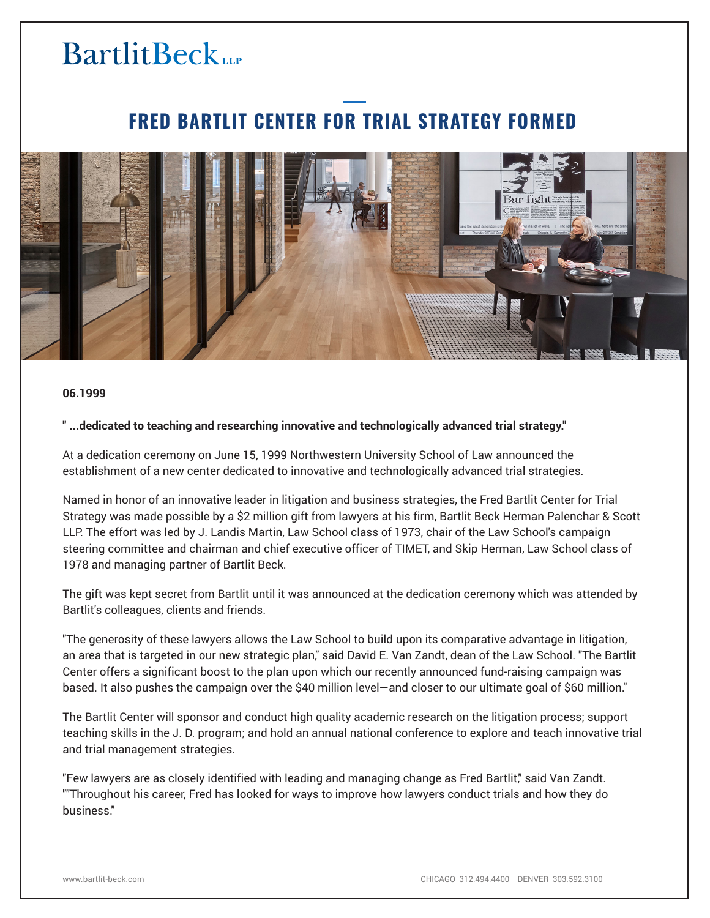## **BartlitBeck**

## **FRED BARTLIT CENTER FOR TRIAL STRATEGY FORMED**



**06.1999**

## **" ...dedicated to teaching and researching innovative and technologically advanced trial strategy."**

At a dedication ceremony on June 15, 1999 Northwestern University School of Law announced the establishment of a new center dedicated to innovative and technologically advanced trial strategies.

Named in honor of an innovative leader in litigation and business strategies, the Fred Bartlit Center for Trial Strategy was made possible by a \$2 million gift from lawyers at his firm, Bartlit Beck Herman Palenchar & Scott LLP. The effort was led by J. Landis Martin, Law School class of 1973, chair of the Law School's campaign steering committee and chairman and chief executive officer of TIMET, and Skip Herman, Law School class of 1978 and managing partner of Bartlit Beck.

The gift was kept secret from Bartlit until it was announced at the dedication ceremony which was attended by Bartlit's colleagues, clients and friends.

"The generosity of these lawyers allows the Law School to build upon its comparative advantage in litigation, an area that is targeted in our new strategic plan," said David E. Van Zandt, dean of the Law School. "The Bartlit Center offers a significant boost to the plan upon which our recently announced fund-raising campaign was based. It also pushes the campaign over the \$40 million level—and closer to our ultimate goal of \$60 million."

The Bartlit Center will sponsor and conduct high quality academic research on the litigation process; support teaching skills in the J. D. program; and hold an annual national conference to explore and teach innovative trial and trial management strategies.

"Few lawyers are as closely identified with leading and managing change as Fred Bartlit," said Van Zandt. ""Throughout his career, Fred has looked for ways to improve how lawyers conduct trials and how they do business."